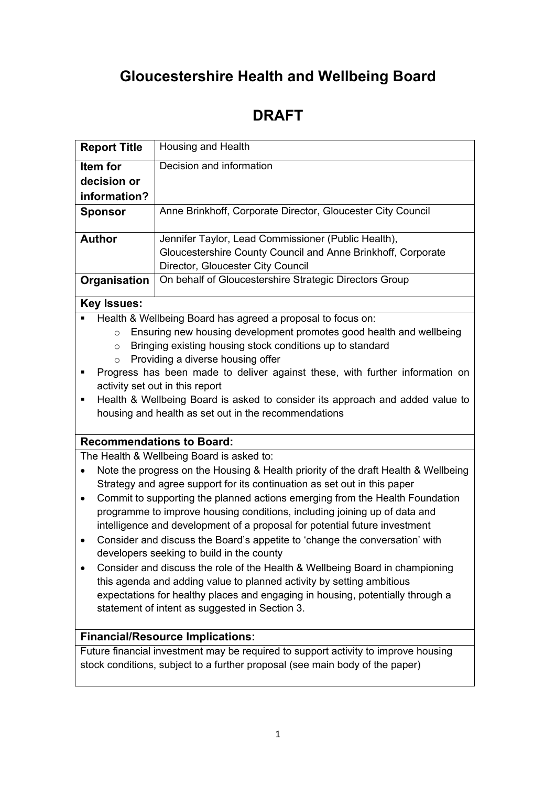# **Gloucestershire Health and Wellbeing Board**

## **DRAFT**

| <b>Report Title</b>                                                                      | Housing and Health                                                                                                                                             |  |  |  |  |  |
|------------------------------------------------------------------------------------------|----------------------------------------------------------------------------------------------------------------------------------------------------------------|--|--|--|--|--|
| Item for                                                                                 | Decision and information                                                                                                                                       |  |  |  |  |  |
| decision or                                                                              |                                                                                                                                                                |  |  |  |  |  |
| information?                                                                             |                                                                                                                                                                |  |  |  |  |  |
| <b>Sponsor</b>                                                                           | Anne Brinkhoff, Corporate Director, Gloucester City Council                                                                                                    |  |  |  |  |  |
| <b>Author</b>                                                                            | Jennifer Taylor, Lead Commissioner (Public Health),                                                                                                            |  |  |  |  |  |
|                                                                                          | Gloucestershire County Council and Anne Brinkhoff, Corporate                                                                                                   |  |  |  |  |  |
|                                                                                          | Director, Gloucester City Council                                                                                                                              |  |  |  |  |  |
| Organisation                                                                             | On behalf of Gloucestershire Strategic Directors Group                                                                                                         |  |  |  |  |  |
| <b>Key Issues:</b>                                                                       |                                                                                                                                                                |  |  |  |  |  |
|                                                                                          | Health & Wellbeing Board has agreed a proposal to focus on:                                                                                                    |  |  |  |  |  |
|                                                                                          | Ensuring new housing development promotes good health and wellbeing<br>$\circ$                                                                                 |  |  |  |  |  |
| $\circ$                                                                                  | Bringing existing housing stock conditions up to standard<br>Providing a diverse housing offer                                                                 |  |  |  |  |  |
| $\circ$<br>٠                                                                             | Progress has been made to deliver against these, with further information on                                                                                   |  |  |  |  |  |
|                                                                                          | activity set out in this report                                                                                                                                |  |  |  |  |  |
| ٠                                                                                        | Health & Wellbeing Board is asked to consider its approach and added value to                                                                                  |  |  |  |  |  |
|                                                                                          | housing and health as set out in the recommendations                                                                                                           |  |  |  |  |  |
|                                                                                          |                                                                                                                                                                |  |  |  |  |  |
|                                                                                          | <b>Recommendations to Board:</b>                                                                                                                               |  |  |  |  |  |
| The Health & Wellbeing Board is asked to:                                                |                                                                                                                                                                |  |  |  |  |  |
| $\bullet$                                                                                | Note the progress on the Housing & Health priority of the draft Health & Wellbeing<br>Strategy and agree support for its continuation as set out in this paper |  |  |  |  |  |
| Commit to supporting the planned actions emerging from the Health Foundation<br>٠        |                                                                                                                                                                |  |  |  |  |  |
| programme to improve housing conditions, including joining up of data and                |                                                                                                                                                                |  |  |  |  |  |
| intelligence and development of a proposal for potential future investment               |                                                                                                                                                                |  |  |  |  |  |
| Consider and discuss the Board's appetite to 'change the conversation' with<br>$\bullet$ |                                                                                                                                                                |  |  |  |  |  |
|                                                                                          | developers seeking to build in the county                                                                                                                      |  |  |  |  |  |
|                                                                                          | Consider and discuss the role of the Health & Wellbeing Board in championing<br>this agenda and adding value to planned activity by setting ambitious          |  |  |  |  |  |
|                                                                                          | expectations for healthy places and engaging in housing, potentially through a                                                                                 |  |  |  |  |  |
|                                                                                          | statement of intent as suggested in Section 3.                                                                                                                 |  |  |  |  |  |
|                                                                                          |                                                                                                                                                                |  |  |  |  |  |
|                                                                                          | <b>Financial/Resource Implications:</b>                                                                                                                        |  |  |  |  |  |
|                                                                                          | Future financial investment may be required to support activity to improve housing                                                                             |  |  |  |  |  |
|                                                                                          | stock conditions, subject to a further proposal (see main body of the paper)                                                                                   |  |  |  |  |  |
|                                                                                          |                                                                                                                                                                |  |  |  |  |  |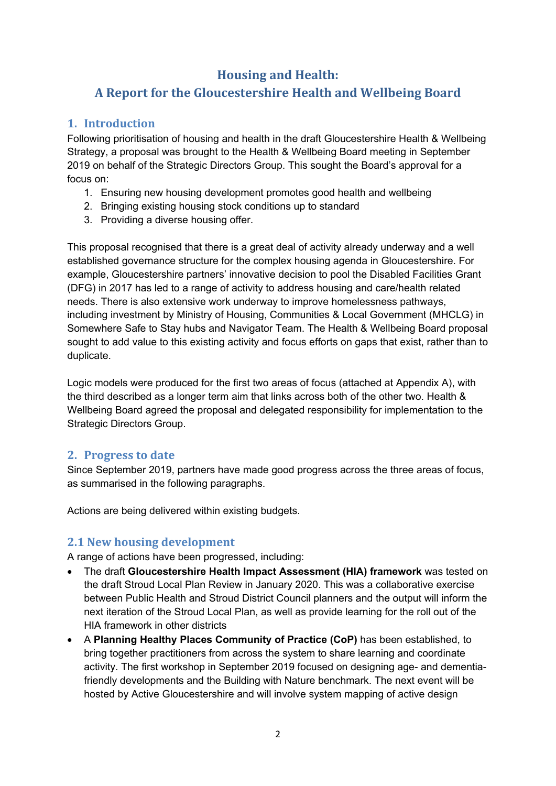### **Housing and Health:**

## **A Report for the Gloucestershire Health and Wellbeing Board**

#### **1. Introduction**

Following prioritisation of housing and health in the draft Gloucestershire Health & Wellbeing Strategy, a proposal was brought to the Health & Wellbeing Board meeting in September 2019 on behalf of the Strategic Directors Group. This sought the Board's approval for a focus on:

- 1. Ensuring new housing development promotes good health and wellbeing
- 2. Bringing existing housing stock conditions up to standard
- 3. Providing a diverse housing offer.

This proposal recognised that there is a great deal of activity already underway and a well established governance structure for the complex housing agenda in Gloucestershire. For example, Gloucestershire partners' innovative decision to pool the Disabled Facilities Grant (DFG) in 2017 has led to a range of activity to address housing and care/health related needs. There is also extensive work underway to improve homelessness pathways, including investment by Ministry of Housing, Communities & Local Government (MHCLG) in Somewhere Safe to Stay hubs and Navigator Team. The Health & Wellbeing Board proposal sought to add value to this existing activity and focus efforts on gaps that exist, rather than to duplicate.

Logic models were produced for the first two areas of focus (attached at Appendix A), with the third described as a longer term aim that links across both of the other two. Health & Wellbeing Board agreed the proposal and delegated responsibility for implementation to the Strategic Directors Group.

#### **2. Progress to date**

Since September 2019, partners have made good progress across the three areas of focus, as summarised in the following paragraphs.

Actions are being delivered within existing budgets.

#### **2.1 New housing development**

A range of actions have been progressed, including:

- The draft **Gloucestershire Health Impact Assessment (HIA) framework** was tested on the draft Stroud Local Plan Review in January 2020. This was a collaborative exercise between Public Health and Stroud District Council planners and the output will inform the next iteration of the Stroud Local Plan, as well as provide learning for the roll out of the HIA framework in other districts
- A **Planning Healthy Places Community of Practice (CoP)** has been established, to bring together practitioners from across the system to share learning and coordinate activity. The first workshop in September 2019 focused on designing age- and dementiafriendly developments and the Building with Nature benchmark. The next event will be hosted by Active Gloucestershire and will involve system mapping of active design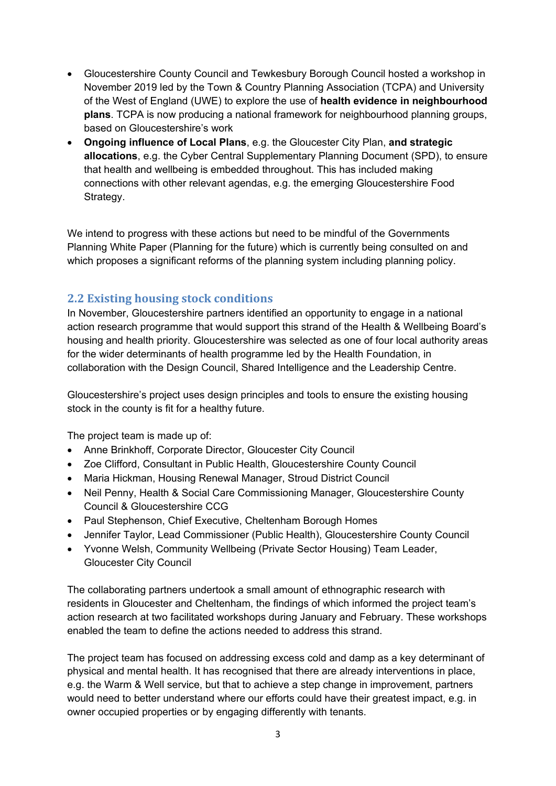- Gloucestershire County Council and Tewkesbury Borough Council hosted a workshop in November 2019 led by the Town & Country Planning Association (TCPA) and University of the West of England (UWE) to explore the use of **health evidence in neighbourhood plans**. TCPA is now producing a national framework for neighbourhood planning groups, based on Gloucestershire's work
- **Ongoing influence of Local Plans**, e.g. the Gloucester City Plan, **and strategic allocations**, e.g. the Cyber Central Supplementary Planning Document (SPD), to ensure that health and wellbeing is embedded throughout. This has included making connections with other relevant agendas, e.g. the emerging Gloucestershire Food Strategy.

We intend to progress with these actions but need to be mindful of the Governments Planning White Paper (Planning for the future) which is currently being consulted on and which proposes a significant reforms of the planning system including planning policy.

#### **2.2 Existing housing stock conditions**

In November, Gloucestershire partners identified an opportunity to engage in a national action research programme that would support this strand of the Health & Wellbeing Board's housing and health priority. Gloucestershire was selected as one of four local authority areas for the wider determinants of health programme led by the Health Foundation, in collaboration with the Design Council, Shared Intelligence and the Leadership Centre.

Gloucestershire's project uses design principles and tools to ensure the existing housing stock in the county is fit for a healthy future.

The project team is made up of:

- Anne Brinkhoff, Corporate Director, Gloucester City Council
- Zoe Clifford, Consultant in Public Health, Gloucestershire County Council
- Maria Hickman, Housing Renewal Manager, Stroud District Council
- Neil Penny, Health & Social Care Commissioning Manager, Gloucestershire County Council & Gloucestershire CCG
- Paul Stephenson, Chief Executive, Cheltenham Borough Homes
- Jennifer Taylor, Lead Commissioner (Public Health), Gloucestershire County Council
- Yvonne Welsh, Community Wellbeing (Private Sector Housing) Team Leader, Gloucester City Council

The collaborating partners undertook a small amount of ethnographic research with residents in Gloucester and Cheltenham, the findings of which informed the project team's action research at two facilitated workshops during January and February. These workshops enabled the team to define the actions needed to address this strand.

The project team has focused on addressing excess cold and damp as a key determinant of physical and mental health. It has recognised that there are already interventions in place, e.g. the Warm & Well service, but that to achieve a step change in improvement, partners would need to better understand where our efforts could have their greatest impact, e.g. in owner occupied properties or by engaging differently with tenants.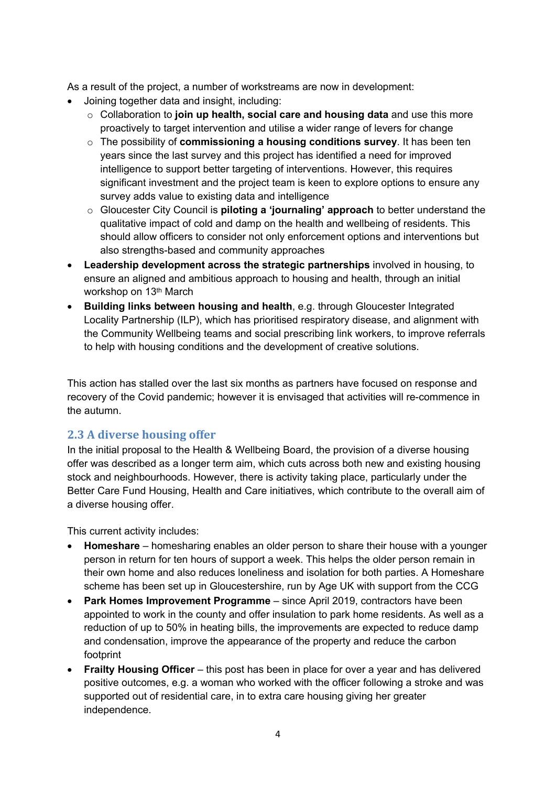As a result of the project, a number of workstreams are now in development:

- Joining together data and insight, including:
	- o Collaboration to **join up health, social care and housing data** and use this more proactively to target intervention and utilise a wider range of levers for change
	- o The possibility of **commissioning a housing conditions survey**. It has been ten years since the last survey and this project has identified a need for improved intelligence to support better targeting of interventions. However, this requires significant investment and the project team is keen to explore options to ensure any survey adds value to existing data and intelligence
	- o Gloucester City Council is **piloting a 'journaling' approach** to better understand the qualitative impact of cold and damp on the health and wellbeing of residents. This should allow officers to consider not only enforcement options and interventions but also strengths-based and community approaches
- **Leadership development across the strategic partnerships** involved in housing, to ensure an aligned and ambitious approach to housing and health, through an initial workshop on 13th March
- **Building links between housing and health**, e.g. through Gloucester Integrated Locality Partnership (ILP), which has prioritised respiratory disease, and alignment with the Community Wellbeing teams and social prescribing link workers, to improve referrals to help with housing conditions and the development of creative solutions.

This action has stalled over the last six months as partners have focused on response and recovery of the Covid pandemic; however it is envisaged that activities will re-commence in the autumn.

#### **2.3 A diverse housing offer**

In the initial proposal to the Health & Wellbeing Board, the provision of a diverse housing offer was described as a longer term aim, which cuts across both new and existing housing stock and neighbourhoods. However, there is activity taking place, particularly under the Better Care Fund Housing, Health and Care initiatives, which contribute to the overall aim of a diverse housing offer.

This current activity includes:

- **Homeshare** homesharing enables an older person to share their house with a younger person in return for ten hours of support a week. This helps the older person remain in their own home and also reduces loneliness and isolation for both parties. A Homeshare scheme has been set up in Gloucestershire, run by Age UK with support from the CCG
- **Park Homes Improvement Programme** since April 2019, contractors have been appointed to work in the county and offer insulation to park home residents. As well as a reduction of up to 50% in heating bills, the improvements are expected to reduce damp and condensation, improve the appearance of the property and reduce the carbon footprint
- **Frailty Housing Officer** this post has been in place for over a year and has delivered positive outcomes, e.g. a woman who worked with the officer following a stroke and was supported out of residential care, in to extra care housing giving her greater independence.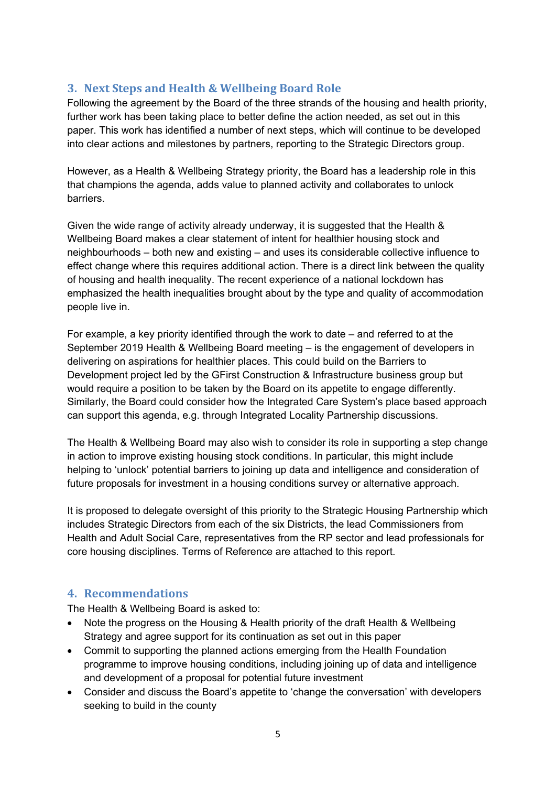#### **3. Next Steps and Health & Wellbeing Board Role**

Following the agreement by the Board of the three strands of the housing and health priority, further work has been taking place to better define the action needed, as set out in this paper. This work has identified a number of next steps, which will continue to be developed into clear actions and milestones by partners, reporting to the Strategic Directors group.

However, as a Health & Wellbeing Strategy priority, the Board has a leadership role in this that champions the agenda, adds value to planned activity and collaborates to unlock barriers.

Given the wide range of activity already underway, it is suggested that the Health & Wellbeing Board makes a clear statement of intent for healthier housing stock and neighbourhoods – both new and existing – and uses its considerable collective influence to effect change where this requires additional action. There is a direct link between the quality of housing and health inequality. The recent experience of a national lockdown has emphasized the health inequalities brought about by the type and quality of accommodation people live in.

For example, a key priority identified through the work to date – and referred to at the September 2019 Health & Wellbeing Board meeting – is the engagement of developers in delivering on aspirations for healthier places. This could build on the Barriers to Development project led by the GFirst Construction & Infrastructure business group but would require a position to be taken by the Board on its appetite to engage differently. Similarly, the Board could consider how the Integrated Care System's place based approach can support this agenda, e.g. through Integrated Locality Partnership discussions.

The Health & Wellbeing Board may also wish to consider its role in supporting a step change in action to improve existing housing stock conditions. In particular, this might include helping to 'unlock' potential barriers to joining up data and intelligence and consideration of future proposals for investment in a housing conditions survey or alternative approach.

It is proposed to delegate oversight of this priority to the Strategic Housing Partnership which includes Strategic Directors from each of the six Districts, the lead Commissioners from Health and Adult Social Care, representatives from the RP sector and lead professionals for core housing disciplines. Terms of Reference are attached to this report.

#### **4. Recommendations**

The Health & Wellbeing Board is asked to:

- Note the progress on the Housing & Health priority of the draft Health & Wellbeing Strategy and agree support for its continuation as set out in this paper
- Commit to supporting the planned actions emerging from the Health Foundation programme to improve housing conditions, including joining up of data and intelligence and development of a proposal for potential future investment
- Consider and discuss the Board's appetite to 'change the conversation' with developers seeking to build in the county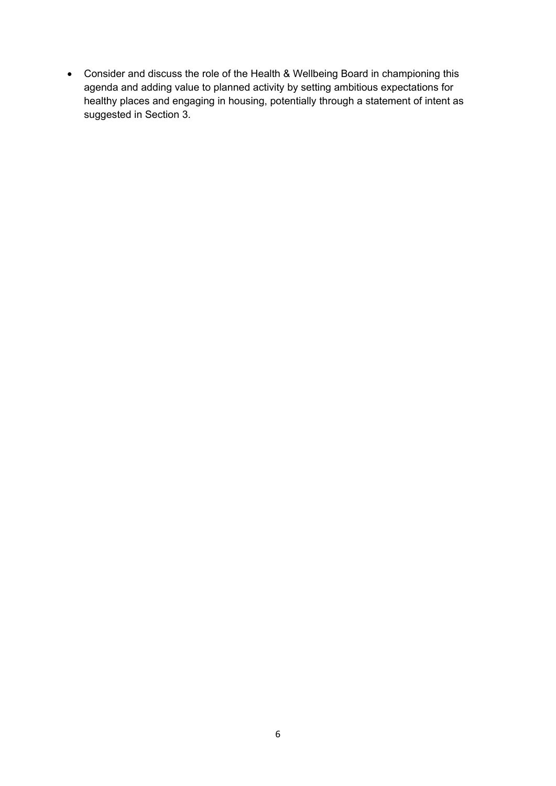Consider and discuss the role of the Health & Wellbeing Board in championing this agenda and adding value to planned activity by setting ambitious expectations for healthy places and engaging in housing, potentially through a statement of intent as suggested in Section 3.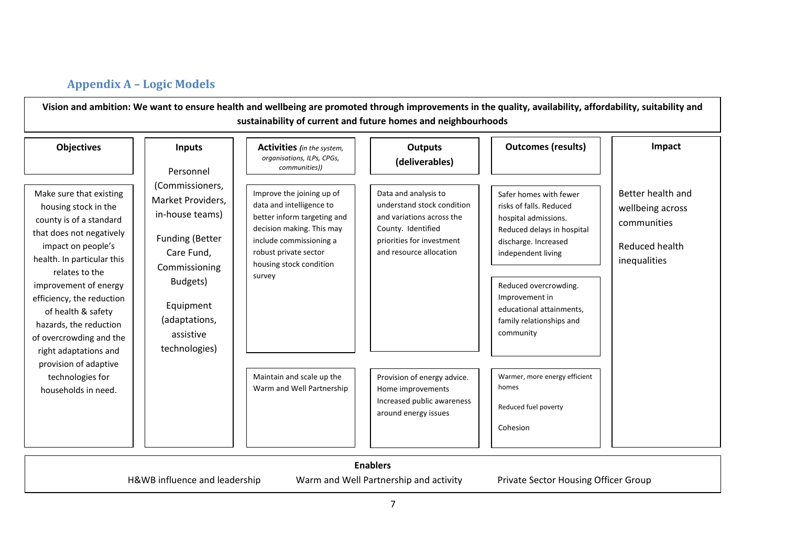#### **Appendix A – Logic Models**

Vision and ambition: We want to ensure health and wellbeing are promoted through improvements in the quality, availability, affordability, suitability and **sustainability of current and future homes and neighbourhoods**

| <b>Objectives</b>                                                                                                                                                                                                                                                                                                                                                                                                                                              | <b>Inputs</b><br>Personnel                                                                                                    | <b>Activities</b> (in the system,<br>organisations, ILPs, CPGs,<br>communities))                                                                                                                           | <b>Outputs</b><br>(deliverables)                                                                                                                              | <b>Outcomes (results)</b>                                                                                                                                                                                                                                             | Impact                                                                                        |
|----------------------------------------------------------------------------------------------------------------------------------------------------------------------------------------------------------------------------------------------------------------------------------------------------------------------------------------------------------------------------------------------------------------------------------------------------------------|-------------------------------------------------------------------------------------------------------------------------------|------------------------------------------------------------------------------------------------------------------------------------------------------------------------------------------------------------|---------------------------------------------------------------------------------------------------------------------------------------------------------------|-----------------------------------------------------------------------------------------------------------------------------------------------------------------------------------------------------------------------------------------------------------------------|-----------------------------------------------------------------------------------------------|
| Make sure that existing<br>housing stock in the<br>county is of a standard<br>that does not negatively<br>impact on people's<br>Care Fund,<br>health. In particular this<br>relates to the<br>Budgets)<br>improvement of energy<br>efficiency, the reduction<br>Equipment<br>of health & safety<br>hazards, the reduction<br>assistive<br>of overcrowding and the<br>right adaptations and<br>provision of adaptive<br>technologies for<br>households in need. | (Commissioners,<br>Market Providers,<br>in-house teams)<br>Funding (Better<br>Commissioning<br>(adaptations,<br>technologies) | Improve the joining up of<br>data and intelligence to<br>better inform targeting and<br>decision making. This may<br>include commissioning a<br>robust private sector<br>housing stock condition<br>survey | Data and analysis to<br>understand stock condition<br>and variations across the<br>County. Identified<br>priorities for investment<br>and resource allocation | Safer homes with fewer<br>risks of falls. Reduced<br>hospital admissions.<br>Reduced delays in hospital<br>discharge. Increased<br>independent living<br>Reduced overcrowding.<br>Improvement in<br>educational attainments,<br>family relationships and<br>community | Better health and<br>wellbeing across<br>communities<br><b>Reduced health</b><br>inequalities |
|                                                                                                                                                                                                                                                                                                                                                                                                                                                                |                                                                                                                               | Maintain and scale up the<br>Warm and Well Partnership                                                                                                                                                     | Provision of energy advice.<br>Home improvements<br>Increased public awareness<br>around energy issues                                                        | Warmer, more energy efficient<br>homes<br>Reduced fuel poverty<br>Cohesion                                                                                                                                                                                            |                                                                                               |

#### **Enablers**

H&WB influence and leadership Warm and Well Partnership and activity Private Sector Housing Officer Group